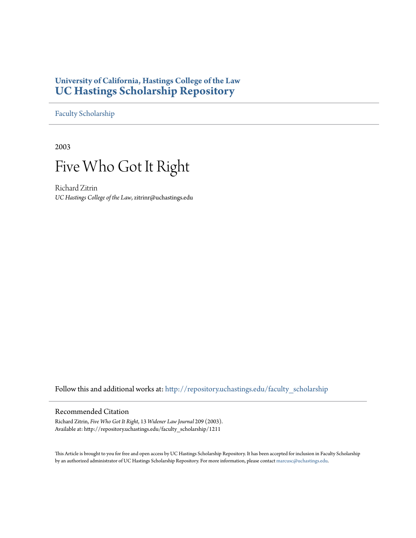# **University of California, Hastings College of the Law [UC Hastings Scholarship Repository](http://repository.uchastings.edu?utm_source=repository.uchastings.edu%2Ffaculty_scholarship%2F1211&utm_medium=PDF&utm_campaign=PDFCoverPages)**

[Faculty Scholarship](http://repository.uchastings.edu/faculty_scholarship?utm_source=repository.uchastings.edu%2Ffaculty_scholarship%2F1211&utm_medium=PDF&utm_campaign=PDFCoverPages)

2003



Richard Zitrin *UC Hastings College of the Law*, zitrinr@uchastings.edu

Follow this and additional works at: [http://repository.uchastings.edu/faculty\\_scholarship](http://repository.uchastings.edu/faculty_scholarship?utm_source=repository.uchastings.edu%2Ffaculty_scholarship%2F1211&utm_medium=PDF&utm_campaign=PDFCoverPages)

#### Recommended Citation

Richard Zitrin, *Five Who Got It Right*, 13 *Widener Law Journal* 209 (2003). Available at: http://repository.uchastings.edu/faculty\_scholarship/1211

This Article is brought to you for free and open access by UC Hastings Scholarship Repository. It has been accepted for inclusion in Faculty Scholarship by an authorized administrator of UC Hastings Scholarship Repository. For more information, please contact [marcusc@uchastings.edu](mailto:marcusc@uchastings.edu).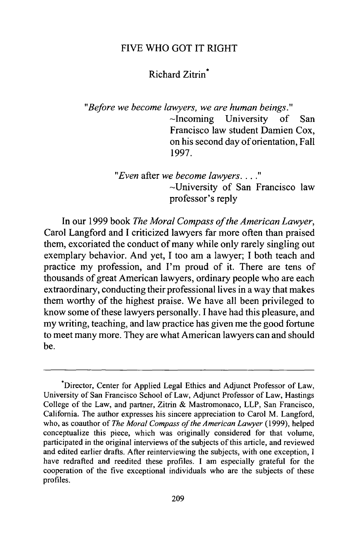# FIVE WHO GOT IT RIGHT

Richard Zitrin \*

*"Before we become lawyers, we are human beings."* 

~Incoming University of San Francisco law student Damien Cox, on his second day of orientation, Fall 1997.

*"Even* after *we become lawyers .* ... " ~University of San Francisco law professor's reply

In our 1999 book *The Moral Compass of the American Lawyer,*  Carol Langford and I criticized lawyers far more often than praised them, excoriated the conduct of many while only rarely singling out exemplary behavior. And yet, I too am a lawyer; I both teach and practice my profession, and I'm proud of it. There are tens of thousands of great American lawyers, ordinary people who are each extraordinary, conducting their professional lives in a way that makes them worthy of the highest praise. We have all been privileged to know some of these lawyers personally. I have had this pleasure, and my writing, teaching, and law practice has given me the good fortune to meet many more. They are what American lawyers can and should be.

<sup>·</sup>Director, Center for Applied Legal Ethics and Adjunct Professor of Law, University of San Francisco School of Law, Adjunct Professor of Law, Hastings College of the Law, and partner, Zitrin & Mastromonaco, LLP, San Francisco, California. The author expresses his sincere appreciation to Carol M. Langford, who, as coauthor of *The Moral Compass of the American Lawyer* (1999), helped conceptualize this piece, which was originally considered for that volume, participated in the original interviews of the subjects of this article, and reviewed and edited earlier drafts. After reinterviewing the subjects, with one exception, I have redrafted and reedited these profiles. I am especially grateful for the cooperation of the five exceptional individuals who are the subjects of these profiles.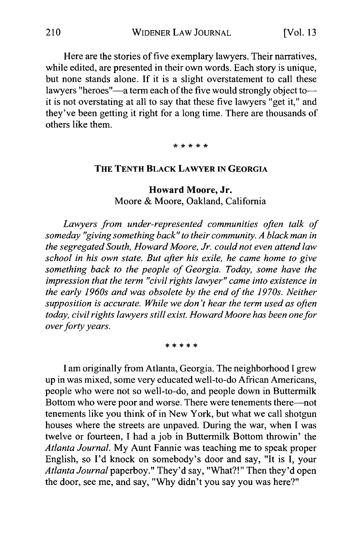Here are the stories of five exemplary lawyers. Their narratives, while edited, are presented in their own words. Each story is unique, but none stands alone. If it is a slight overstatement to call these lawyers "heroes"—a term each of the five would strongly object to it is not overstating at all to say that these five lawyers "get it," and they've been getting it right for a long time. There are thousands of others like them.

\*\*\*\*\*

#### THE TENTH BLACK LAWYER IN GEORGIA

Howard Moore, Jr. Moore & Moore, Oakland, California

*Lawyers from under-represented communities often talk of someday ''giving something back" to their community. A black man in the segregated South, Howard Moore, Jr. could not even attend law school in his own state. But after his exile, he came home to give something back to the people of Georgia. Today, some have the impression that the term "civil rights lawyer" came into existence in the early 1960s and was obsolete by the end of the 1970s. Neither supposition is accurate. While we don't hear the term used as often today, civil rights lawyers still exist. Howard Moore has been one for over forty years.* 

\*\*\*\*\*

I am originally from Atlanta, Georgia. The neighborhood I grew up in was mixed, some very educated well-to-do African Americans, people who were not so well-to-do, and people down in Buttermilk Bottom who were poor and worse. There were tenements there—not tenements like you think of in New York, but what we call shotgun houses where the streets are unpaved. During the war, when I was twelve or fourteen, I had a job in Buttermilk Bottom throwin' the *Atlanta Journal.* My Aunt Fannie was teaching me to speak proper English, so I'd knock on somebody's door and say, "It is I, your *Atlanta Journal* paperboy." They'd say, "What?!" Then they'd open the door, see me, and say, "Why didn't you say you was here?"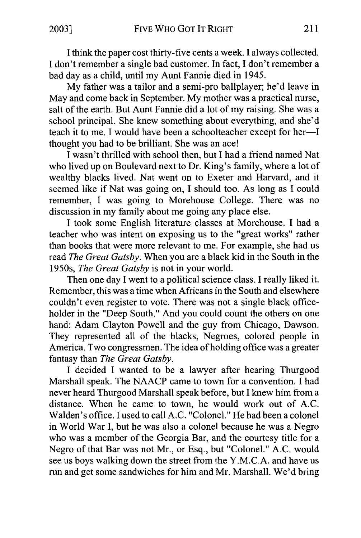I think the paper cost thirty-five cents a week. I always collected. I don't remember a single bad customer. In fact, I don't remember a bad day as a child, until my Aunt Fannie died in 1945.

My father was a tailor and a semi-pro ballplayer; he'd leave in May and come back in September. My mother was a practical nurse, salt of the earth. But Aunt Fannie did a lot of my raising. She was a school principal. She knew something about everything, and she'd teach it to me. I would have been a schoolteacher except for her-I thought you had to be brilliant. She was an ace!

I wasn't thrilled with school then, but I had a friend named Nat who lived up on Boulevard next to Dr. King's family, where a lot of wealthy blacks lived. Nat went on to Exeter and Harvard, and it seemed like if Nat was going on, I should too. As long as I could remember, I was going to Morehouse College. There was no discussion in my family about me going any place else.

I took some English literature classes at Morehouse. I had a teacher who was intent on exposing us to the "great works" rather than books that were more relevant to me. For example, she had us read *The Great Gatsby.* When you are a black kid in the South in the 1950s, *The Great Gatsby* is not in your world.

Then one day I went to a political science class. I really liked it. Remember, this was a time when Africans in the South and elsewhere couldn't even register to vote. There was not a single black officeholder in the "Deep South." And you could count the others on one hand: Adam Clayton Powell and the guy from Chicago, Dawson. They represented all of the blacks, Negroes, colored people in America. Two congressmen. The idea of holding office was a greater fantasy than *The Great Gatsby.* 

I decided I wanted to be a lawyer after hearing Thurgood Marshall speak. The NAACP came to town for a convention. I had never heard Thurgood Marshall speak before, but I knew him from a distance. When he came to town, he would work out of A.C. Walden's office. I used to call A.C. "Colonel." He had been a colonel in World War I, but he was also a colonel because he was a Negro who was a member of the Georgia Bar, and the courtesy title for a Negro of that Bar was not Mr., or Esq., but "Colonel." A.C. would see us boys walking down the street from the Y.M.C.A. and have us run and get some sandwiches for him and Mr. Marshall. We'd bring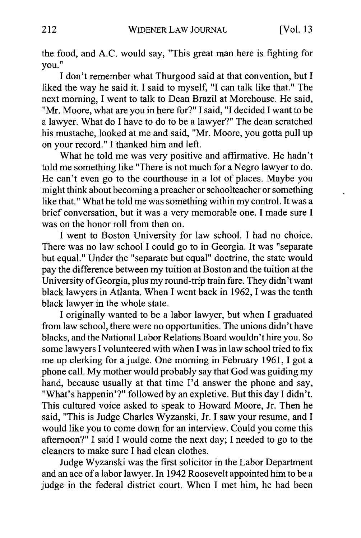the food, and A.C. would say, "This great man here is fighting for you."

I don't remember what Thurgood said at that convention, but I liked the way he said it. I said to myself, "I can talk like that." The next morning, I went to talk to Dean Brazil at Morehouse. He said, "Mr. Moore, what are you in here for?" I said, "I decided I want to be a lawyer. What do I have to do to be a lawyer?" The dean scratched his mustache, looked at me and said, "Mr. Moore, you gotta pull up on your record." I thanked him and left.

What he told me was very positive and affirmative. He hadn't told me something like "There is not much for a Negro lawyer to do. He can't even go to the courthouse in a lot of places. Maybe you might think about becoming a preacher or schoolteacher or something like that. " What he told me was something within my control. It was a brief conversation, but it was a very memorable one. I made sure I was on the honor roll from then on.

I went to Boston University for law school. I had no choice. There was no law school I could go to in Georgia. It was "separate but equal." Under the "separate but equal" doctrine, the state would pay the difference between my tuition at Boston and the tuition at the University of Georgia, plus my round-trip train fare. They didn't want black lawyers in Atlanta. When I went back in 1962, I was the tenth black lawyer in the whole state.

I originally wanted to be a labor lawyer, but when I graduated from law school, there were no opportunities. The unions didn't have blacks, and the National Labor Relations Board wouldn't hire you. So some lawyers I volunteered with when I was in law school tried to fix me up clerking for a judge. One morning in February 1961, I got a phone call. My mother would probably say that God was guiding my hand, because usually at that time I'd answer the phone and say, "What's happenin'?" followed by an expletive. But this day I didn't. This cultured voice asked to speak to Howard Moore, Jr. Then he said, "This is Judge Charles Wyzanski, Jr. I saw your resume, and I would like you to come down for an interview. Could you come this afternoon?" I said I would come the next day; I needed to go to the cleaners to make sure I had clean clothes.

Judge Wyzanski was the first solicitor in the Labor Department and an ace of a labor lawyer. In 1942 Roosevelt appointed him to be a judge in the federal district court. When I met him, he had been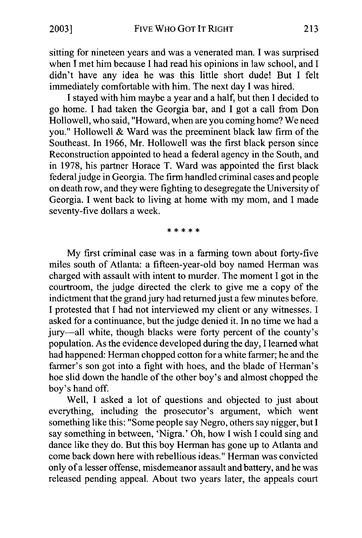sitting for nineteen years and was a venerated man. I was surprised when I met him because I had read his opinions in law school, and I didn't have any idea he was this little short dude! But I felt immediately comfortable with him. The next day I was hired.

I stayed with him maybe a year and a half, but then I decided to go home. I had taken the Georgia bar, and I got a call from Don Hollowell, who said, "Howard, when are you coming home? We need you." Hollowell & Ward was the preeminent black law firm of the Southeast. In 1966, Mr. Hollowell was the first black person since Reconstruction appointed to head a federal agency in the South, and in 1978, his partner Horace T. Ward was appointed the first black federal judge in Georgia. The firm handled criminal cases and people on death row, and they were fighting to desegregate the University of Georgia. I went back to living at home with my mom, and I made seventy-five dollars a week.

\*\*\*\*\*

My first criminal case was in a farming town about forty-five miles south of Atlanta: a fifteen-year-old boy named Herman was charged with assault with intent to murder. The moment I got in the courtroom, the judge directed the clerk to give me a copy of the indictment that the grand jury had returned just a few minutes before. I protested that I had not interviewed my client or any witnesses. I asked for a continuance, but the judge denied it. In no time we had a jury-all white, though blacks were forty percent of the county's population. As the evidence developed during the day, I learned what had happened: Herman chopped cotton for a white farmer; he and the farmer's son got into a fight with hoes, and the blade of Herman's hoe slid down the handle of the other boy's and almost chopped the boy's hand off.

Well, I asked a lot of questions and objected to just about everything, including the prosecutor's argument, which went something like this: "Some people say Negro, others say nigger, but I say something in between, 'Nigra.' Oh, how I wish I could sing and dance like they do. But this boy Herman has gone up to Atlanta and come back down here with rebellious ideas." Herman was convicted only of a lesser offense, misdemeanor assault and battery, and he was released pending appeal. About two years later, the appeals court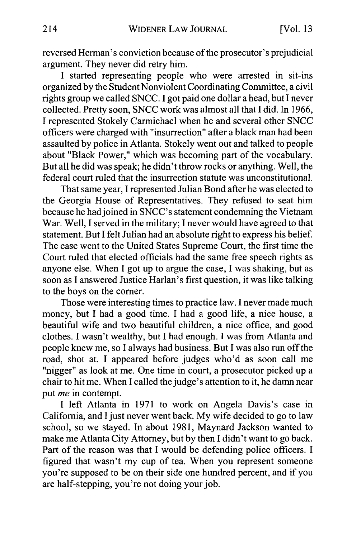reversed Hennan's conviction because of the prosecutor's prejudicial argument. They never did retry him.

I started representing people who were arrested in sit-ins organized by the Student Nonviolent Coordinating Committee, a civil rights group we called SNCC. I got paid one dollar a head, but I never collected. Pretty soon, SNCC work was almost all that I did. In 1966, I represented Stokely Cannichael when he and several other SNCC officers were charged with "insurrection" after a black man had been assaulted by police in Atlanta. Stokely went out and talked to people about "Black Power," which was becoming part of the vocabulary. But all he did was speak; he didn't throw rocks or anything. Well, the federal court ruled that the insurrection statute was unconstitutional.

That same year, I represented Julian Bond after he was elected to the Georgia House of Representatives. They refused to seat him because he had joined in SNCC's statement condemning the Vietnam War. Well, I served in the military; I never would have agreed to that statement. But I felt Julian had an absolute right to express his belief. The case went to the United States Supreme Court, the first time the Court ruled that elected officials had the same free speech rights as anyone else. When I got up to argue the case, I was shaking, but as soon as I answered Justice Harlan's first question, it was like talking to the boys on the comer.

Those were interesting times to practice law. I never made much money, but I had a good time. I had a good life, a nice house, a beautiful wife and two beautiful children, a nice office, and good clothes. I wasn't wealthy, but I had enough. I was from Atlanta and people knew me, so I always had business. But I was also run off the road, shot at. I appeared before judges who'd as soon call me "nigger" as look at me. One time in court, a prosecutor picked up a chair to hit me. When I called the judge's attention to it, he damn near put *me* in contempt.

I left Atlanta in 1971 to work on Angela Davis's case in California, and I just never went back. My wife decided to go to law school, so we stayed. In about 1981, Maynard Jackson wanted to make me Atlanta City Attorney, but by then I didn't want to go back. Part of the reason was that I would be defending police officers. I figured that wasn't my cup of tea. When you represent someone you're supposed to be on their side one hundred percent, and if you are half-stepping, you're not doing your job.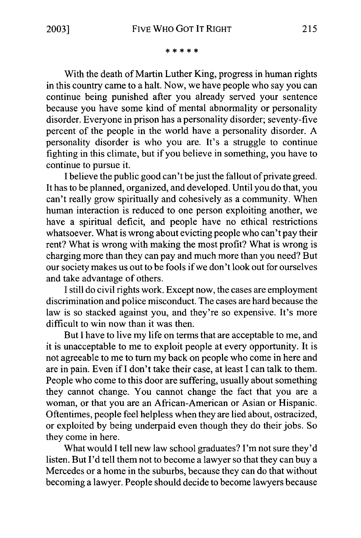#### \*\*\*\*\*

With the death of Martin Luther King, progress in human rights in this country came to a halt. Now, we have people who say you can continue being punished after you already served your sentence because you have some kind of mental abnormality or personality disorder. Everyone in prison has a personality disorder; seventy-five percent of the people in the world have a personality disorder. A personality disorder is who you are. It's a struggle to continue fighting in this climate, but if you believe in something, you have to continue to pursue it.

I believe the public good can't be just the fallout of private greed. It has to be planned, organized, and developed. Until you do that, you can't really grow spiritually and cohesively as a community. When human interaction is reduced to one person exploiting another, we have a spiritual deficit, and people have no ethical restrictions whatsoever. What is wrong about evicting people who can't pay their rent? What is wrong with making the most profit? What is wrong is charging more than they can pay and much more than you need? But our society makes us out to be fools if we don't look out for ourselves and take advantage of others.

I still do civil rights work. Except now, the cases are employment discrimination and police misconduct. The cases are hard because the law is so stacked against you, and they're so expensive. It's more difficult to win now than it was then.

But I have to live my life on terms that are acceptable to me, and it is unacceptable to me to exploit people at every opportunity. It is not agreeable to me to tum my back on people who come in here and are in pain. Even if I don't take their case, at least I can talk to them. People who come to this door are suffering, usually about something they cannot change. You cannot change the fact that you are a woman, or that you are an African-American or Asian or Hispanic. Oftentimes, people feel helpless when they are lied about, ostracized, or exploited by being underpaid even though they do their jobs. So they come in here.

What would I tell new law school graduates? I'm not sure they'd listen. But I'd tell them not to become a lawyer so that they can buy a Mercedes or a home in the suburbs, because they can do that without becoming a lawyer. People should decide to become lawyers because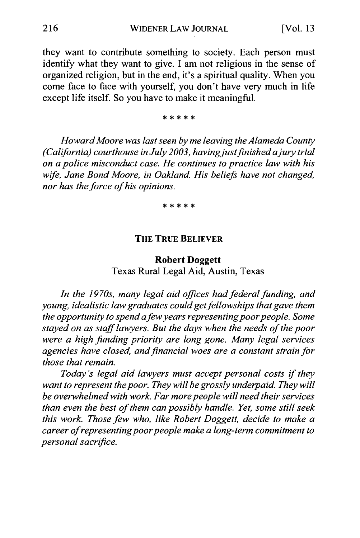they want to contribute something to society. Each person must identify what they want to give. I am not religious in the sense of organized religion, but in the end, it's a spiritual quality. When you come face to face with yourself, you don't have very much in life except life itself. So you have to make it meaningful.

\*\*\*\*\*

*Howard Moore was last seen by me leaving the Alameda County (California) courthouse in July 2003, havingjustfinished ajury trial on a police misconduct case. He continues to practice law with his wife, Jane Bond Moore, in Oakland. His beliefs have not changed, nor has the force of his opinions.* 

\*\*\*\*\*

## THE TRUE BELIEVER

Robert Doggett Texas Rural Legal Aid, Austin, Texas

*In the 1970s, many legal aid offices had federal funding, and young, idealistic law graduates could getfellowships that gave them the opportunity to spend a few years representing poor people. Some stayed on as staff lawyers. But the days when the needs of the poor were a high funding priority are long gone. Many legal services agencies have closed, and financial woes are a constant strain for those that remain.* 

*Today's legal aid lawyers must accept personal costs if they want to represent the poor. They will be grossly underpaid. They will be overwhelmed with work. Far more people will need their services than even the best of them can possibly handle. Yet, some still seek this work. Those few who, like Robert Doggett, decide to make a career of representing poor people make a long-term commitment to personal sacrifice.*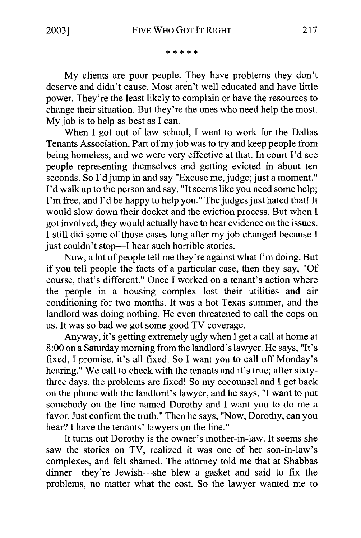\*\*\*\*\*

My clients are poor people. They have problems they don't deserve and didn't cause. Most aren't well educated and have little power. They're the least likely to complain or have the resources to change their situation. But they're the ones who need help the most. My job is to help as best as I can.

When I got out of law school, I went to work for the Dallas Tenants Association. Part of my job was to try and keep people from being homeless, and we were very effective at that. In court I'd see people representing themselves and getting evicted in about ten seconds. So I'd jump in and say "Excuse me, judge; just a moment." I'd walk up to the person and say, "It seems like you need some help; I'm free, and I'd be happy to help you." The judges just hated that! It would slow down their docket and the eviction process. But when I got involved, they would actually have to hear evidence on the issues. I still did some of those cases long after my job changed because I just couldn't stop-I hear such horrible stories.

Now, a lot of people tell me they're against what I'm doing. But if you tell people the facts of a particular case, then they say, "Of course, that's different." Once I worked on a tenant's action where the people in a housing complex lost their utilities and air conditioning for two months. It was a hot Texas summer, and the landlord was doing nothing. He even threatened to call the cops on us. It was so bad we got some good TV coverage.

Anyway, it's getting extremely ugly when I get a call at home at 8:00 on a Saturday morning from the landlord's lawyer. He says, "It's fixed, I promise, it's all fixed. So I want you to call off Monday's hearing." We call to check with the tenants and it's true; after sixtythree days, the problems are fixed! So my cocounsel and I get back on the phone with the landlord's lawyer, and he says, "I want to put somebody on the line named Dorothy and I want you to do me a favor. Just confirm the truth." Then he says, "Now, Dorothy, can you hear? I have the tenants' lawyers on the line."

It turns out Dorothy is the owner's mother-in-law. It seems she saw the stories on TV, realized it was one of her son-in-Iaw's complexes, and felt shamed. The attorney told me that at Shabbas dinner-they're Jewish--she blew a gasket and said to fix the problems, no matter what the cost. So the lawyer wanted me to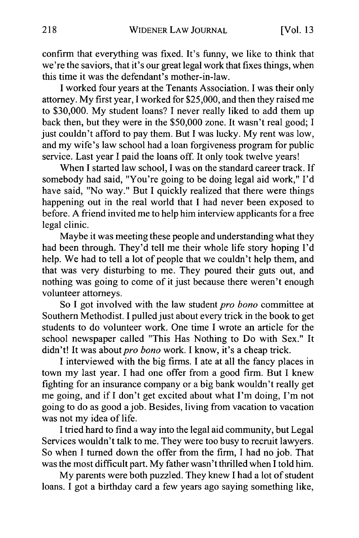confirm that everything was fixed. It's funny, we like to think that we're the saviors, that it's our great legal work that fixes things, when this time it was the defendant's mother-in-law.

I worked four years at the Tenants Association. I was their only attorney. My first year, I worked for \$25,000, and then they raised me to \$30,000. My student loans? I never really liked to add them up back then, but they were in the \$50,000 zone. It wasn't real good; I just couldn't afford to pay them. But I was lucky. My rent was low, and my wife's law school had a loan forgiveness program for public service. Last year I paid the loans off. It only took twelve years!

When I started law school, I was on the standard career track. If somebody had said, "You're going to be doing legal aid work," I'd have said, "No way." But I quickly realized that there were things happening out in the real world that I had never been exposed to before. A friend invited me to help him interview applicants for a free legal clinic.

Maybe it was meeting these people and understanding what they had been through. They'd tell me their whole life story hoping I'd help. We had to tell a lot of people that we couldn't help them, and that was very disturbing to me. They poured their guts out, and nothing was going to come of it just because there weren't enough volunteer attorneys.

So I got involved with the law student *pro bono* committee at Southern Methodist. I pulled just about every trick in the book to get students to do volunteer work. One time I wrote an article for the school newspaper called "This Has Nothing to Do with Sex." It didn't! It was about *pro bono* work. I know, it's a cheap trick.

I interviewed with the big firms. I ate at all the fancy places in town my last year. I had one offer from a good firm. But I knew fighting for an insurance company or a big bank wouldn't really get me going, and if I don't get excited about what I'm doing, I'm not going to do as good a job. Besides, living from vacation to vacation was not my idea of life.

I tried hard to find a way into the legal aid community, but Legal Services wouldn't talk to me. They were too busy to recruit lawyers. So when I turned down the offer from the firm, I had no job. That was the most difficult part. My father wasn't thrilled when I told him.

My parents were both puzzled. They knew I had a lot of student loans. I got a birthday card a few years ago saying something like,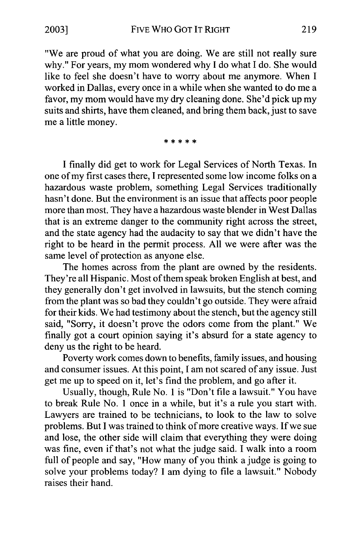"We are proud of what you are doing. We are still not really sure why." For years, my mom wondered why I do what I do. She would like to feel she doesn't have to worry about me anymore. When I worked in Dallas, every once in a while when she wanted to do me a favor, my mom would have my dry cleaning done. She'd pick up my suits and shirts, have them cleaned, and bring them back, just to save me a little money.

\*\*\*\*\*

I finally did get to work for Legal Services of North Texas. In one of my first cases there, I represented some low income folks on a hazardous waste problem, something Legal Services traditionally hasn't done. But the environment is an issue that affects poor people more than most. They have a hazardous waste blender in West Dallas that is an extreme danger to the community right across the street, and the state agency had the audacity to say that we didn't have the right to be heard in the permit process. All we were after was the same level of protection as anyone else.

The homes across from the plant are owned by the residents. They're all Hispanic. Most of them speak broken English at best, and they generally don't get involved in lawsuits, but the stench coming from the plant was so bad they couldn't go outside. They were afraid for their kids. We had testimony about the stench, but the agency still said, "Sorry, it doesn't prove the odors come from the plant." We finally got a court opinion saying it's absurd for a state agency to deny us the right to be heard.

Poverty work comes down to benefits, family issues, and housing and consumer issues. At this point, I am not scared of any issue. Just get me up to speed on it, let's find the problem, and go after it.

Usually, though, Rule No.1 is "Don't file a lawsuit." You have to break Rule No.1 once in a while, but it's a rule you start with. Lawyers are trained to be technicians, to look to the law to solve problems. But I was trained to think of more creative ways. If we sue and lose, the other side will claim that everything they were doing was fine, even if that's not what the judge said. I walk into a room full of people and say, "How many of you think a judge is going to solve your problems today? I am dying to file a lawsuit." Nobody raises their hand.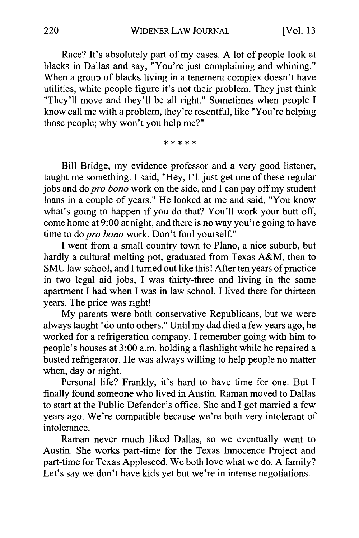Race? It's absolutely part of my cases. A lot of people look at blacks in Dallas and say, "You're just complaining and whining." When a group of blacks living in a tenement complex doesn't have utilities, white people figure it's not their problem. They just think "They'll move and they'll be all right." Sometimes when people I know call me with a problem, they're resentful, like "You're helping those people; why won't you help me?"

\*\*\*\*\*

Bill Bridge, my evidence professor and a very good listener, taught me something. I said, "Hey, I'll just get one of these regular jobs and do *pro bono* work on the side, and I can pay offmy student loans in a couple of years." He looked at me and said, "You know what's going to happen if you do that? You'll work your butt off, come home at 9:00 at night, and there is no way you're going to have time to do *pro bono* work. Don't fool yourself."

I went from a small country town to Plano, a nice suburb, but hardly a cultural melting pot, graduated from Texas A&M, then to SMU law school, and I turned out like this! After ten years of practice in two legal aid jobs, I was thirty-three and living in the same apartment I had when I was in law school. I lived there for thirteen years. The price was right!

My parents were both conservative Republicans, but we were always taught" do unto others." Until my dad died a few years ago, he worked for a refrigeration company. I remember going with him to people's houses at 3:00 a.m. holding a flashlight while he repaired a busted refrigerator. He was always willing to help people no matter when, day or night.

Personal life? Frankly, it's hard to have time for one. But I finally found someone who lived in Austin. Raman moved to Dallas to start at the Public Defender's office. She and I got married a few years ago. We're compatible because we're both very intolerant of intolerance.

Raman never much liked Dallas, so we eventually went to Austin. She works part-time for the Texas Innocence Project and part-time for Texas Appleseed. We both love what we do. A family? Let's say we don't have kids yet but we're in intense negotiations.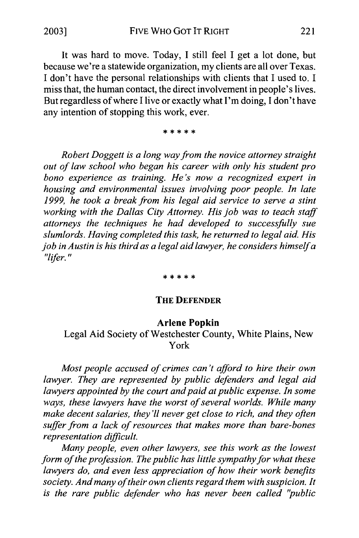It was hard to move. Today, I still feel I get a lot done, but because we're a statewide organization, my clients are all over Texas. I don't have the personal relationships with clients that I used to. I miss that, the human contact, the direct involvement in people's lives. But regardless of where I live or exactly what I'm doing, I don't have any intention of stopping this work, ever.

\*\*\*\*\*

*Robert Doggett is a long way from the novice attorney straight out of law school who began his career with only his student pro bono experience as training. He's now a recognized expert in housing and environmental issues involving poor people. In late 1999, he took a break from his legal aid service to serve a stint working with the Dallas City Attorney. His job was to teach staff attorneys the techniques he had developed to successfully sue slumlords. Having completed this task, he returned to legal aid. His job in Austin is his third as a legal aid lawyer, he considers himself a "lifer. "* 

#### \*\*\*\*\*

#### THE DEFENDER

#### Arlene Popkin

Legal Aid Society of Westchester County, White Plains, New York

*Most people accused of crimes can't afford to hire their own lawyer. They are represented by public defenders and legal aid*  lawyers appointed by the court and paid at public expense. In some *ways, these lawyers have the worst of several worlds. While many make decent salaries, they'll never get close to rich, and they often suffer from a lack of resources that makes more than bare-bones representation difficult.* 

*Many people, even other lawyers, see this work as the lowest form of the profession. The public has little sympathy for what these lawyers do, and even less appreciation of how their work benefits society. And many of their own clients regard them with suspicion. It is the rare public defender who has never been called ''public*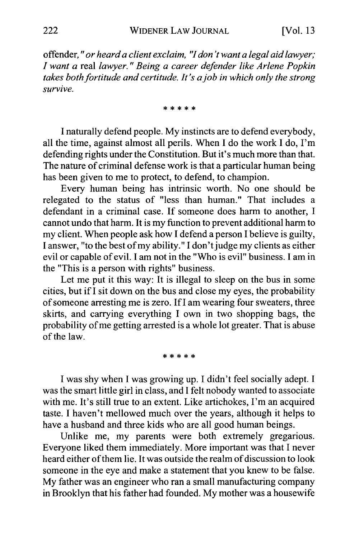offender, " *or heard a client exclaim, "1 don't want a legal aid lawyer; I want a* real *lawyer.* " *Being a career defender like Arlene Popkin*  takes both fortitude and certitude. It's a job in which only the strong *survive.* 

\*\*\*\*\*

I naturally defend people. My instincts are to defend everybody, all the time, against almost all perils. When I do the work I do, I'm defending rights under the Constitution. But it's much more than that. The nature of criminal defense work is that a particular human being has been given to me to protect, to defend, to champion.

Every human being has intrinsic worth. No one should be relegated to the status of "less than human." That includes a defendant in a criminal case. If someone does harm to another, I cannot undo that harm. It is my function to prevent additional harm to my client. When people ask how I defend a person I believe is guilty, I answer, "to the best of my ability." I don't judge my clients as either evil or capable of evil. I am not in the "Who is evil" business. I am in the "This is a person with rights" business.

Let me put it this way: It is illegal to sleep on the bus in some cities, but if I sit down on the bus and close my eyes, the probability of someone arresting me is zero. If I am wearing four sweaters, three skirts, and carrying everything I own in two shopping bags, the probability of me getting arrested is a whole lot greater. That is abuse of the law.

\*\*\*\*\*

I was shy when I was growing up. I didn't feel socially adept. I was the smart little girl in class, and I felt nobody wanted to associate with me. It's still true to an extent. Like artichokes, I'm an acquired taste. I haven't mellowed much over the years, although it helps to have a husband and three kids who are all good human beings.

Unlike me, my parents were both extremely gregarious. Everyone liked them immediately. More important was that I never heard either of them lie. It was outside the realm of discussion to look someone in the eye and make a statement that you knew to be false. My father was an engineer who ran a small manufacturing company in Brooklyn that his father had founded. My mother was a housewife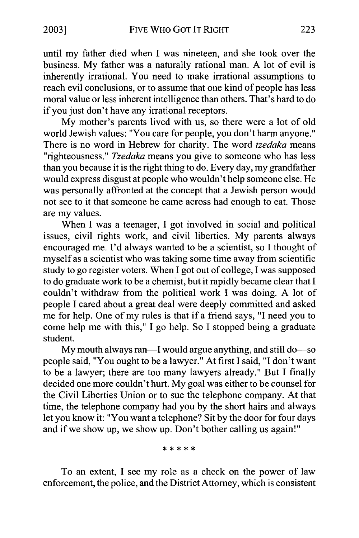until my father died when I was nineteen, and she took over the business. My father was a naturally rational man. A lot of evil is inherently irrational. You need to make irrational assumptions to reach evil conclusions, or to assume that one kind of people has less moral value or less inherent intelligence than others. That's hard to do if you just don't have any irrational receptors.

My mother's parents lived with us, so there were a lot of old world Jewish values: "You care for people, you don't harm anyone." There is no word in Hebrew for charity. The word *tzedaka* means "righteousness." *Tzedaka* means you give to someone who has less than you because it is the right thing to do. Every day, my grandfather would express disgust at people who wouldn't help someone else. He was personally affronted at the concept that a Jewish person would not see to it that someone he came across had enough to eat. Those are my values.

When I was a teenager, I got involved in social and political issues, civil rights work, and civil liberties. My parents always encouraged me. I'd always wanted to be a scientist, so I thought of myself as a scientist who was taking some time away from scientific study to go register voters. When I got out of college, I was supposed to do graduate work to be a chemist, but it rapidly became clear that I couldn't withdraw from the political work I was doing. A lot of people I cared about a great deal were deeply committed and asked me for help. One of my rules is that if a friend says, "I need you to come help me with this," I go help. So I stopped being a graduate student.

My mouth always ran—I would argue anything, and still do—so people said, "You ought to be a lawyer." At first I said, "I don't want to be a lawyer; there are too many lawyers already." But I finally decided one more couldn't hurt. My goal was either to be counsel for the Civil Liberties Union or to sue the telephone company. At that time, the telephone company had you by the short hairs and always let you know it: "You want a telephone? Sit by the door for four days and if we show up, we show up. Don't bother calling us again!"

\*\*\*\*\*

To an extent, I see my role as a check on the power of law enforcement, the police, and the District Attorney, which is consistent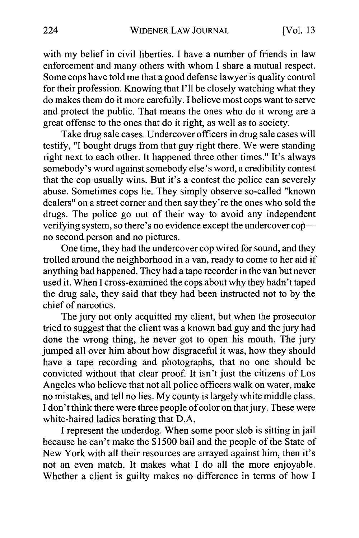with my belief in civil liberties. I have a number of friends in law enforcement and many others with whom I share a mutual respect. Some cops have told me that a good defense lawyer is quality control for their profession. Knowing that I'll be closely watching what they do makes them do it more carefully. I believe most cops want to serve and protect the public. That means the ones who do it wrong are a great offense to the ones that do it right, as well as to society.

Take drug sale cases. Undercover officers in drug sale cases will testify, "I bought drugs from that guy right there. We were standing right next to each other. It happened three other times." It's always somebody's word against somebody else's word, a credibility contest that the cop usually wins. But it's a contest the police can severely abuse. Sometimes cops lie. They simply observe so-called "known dealers" on a street corner and then say they're the ones who sold the drugs. The police go out of their way to avoid any independent verifying system, so there's no evidence except the undercover cop- no second person and no pictures.

One time, they had the undercover cop wired for sound, and they trolled around the neighborhood in a van, ready to come to her aid if anything bad happened. They had a tape recorder in the van but never used it. When I cross-examined the cops about why they hadn't taped the drug sale, they said that they had been instructed not to by the chief of narcotics.

The jury not only acquitted my client, but when the prosecutor tried to suggest that the client was a known bad guy and the jury had done the wrong thing, he never got to open his mouth. The jury jumped all over him about how disgraceful it was, how they should have a tape recording and photographs, that no one should be convicted without that clear proof. It isn't just the citizens of Los Angeles who believe that not all police officers walk on water, make no mistakes, and tell no lies. My county is largely white middle class. I don't think there were three people of color on that jury. These were white-haired ladies berating that D.A.

I represent the underdog. When some poor slob is sitting in jail because he can't make the \$1500 bail and the people of the State of New York with all their resources are arrayed against him, then it's not an even match. It makes what I do all the more enjoyable. Whether a client is guilty makes no difference in terms of how I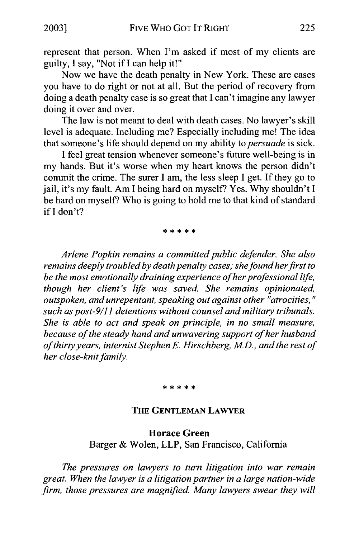represent that person. When I'm asked if most of my clients are guilty, I say, "Not if I can help it!"

Now we have the death penalty in New York. These are cases you have to do right or not at all. But the period of recovery from doing a death penalty case is so great that I can't imagine any lawyer doing it over and over.

The law is not meant to deal with death cases. No lawyer's skill level is adequate. Including me? Especially including me! The idea that someone' s life should depend on my ability to *persuade* is sick.

I feel great tension whenever someone's future well-being is in my hands. But it's worse when my heart knows the person didn't commit the crime. The surer I am, the less sleep I get. If they go to jail, it's my fault. Am I being hard on myself? Yes. Why shouldn't I be hard on myself? Who is going to hold me to that kind of standard if I don't?

\*\*\*\*\*

*Arlene Popkin remains a committed public defender. She also remains deeply troubled by death penalty cases; she found her first to be the most emotionally draining experience of her professional life, though her client's life was saved. She remains opinionated, outspoken, and unrepentant, speaking out against other "atrocities, " such as post-9/ii detentions without counsel and military tribunals. She is able to act and speak on principle, in no small measure, because of the steady hand and unwavering support of her husband of thirty years, internist Stephen E. Hirschberg, MD., and the rest of her close-knit family.* 

#### \*\*\*\*\*

#### THE GENTLEMAN LAWYER

Horace Green Barger & Wolen, LLP, San Francisco, California

*The pressures on lawyers to turn litigation into war remain great. When the lawyer is a litigation partner in a large nation-wide firm, those pressures are magnified. Many lawyers swear they will*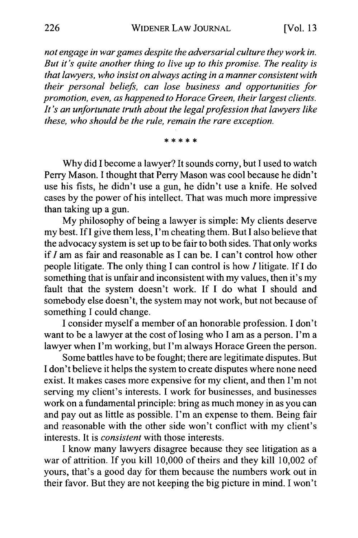*not engage in war games despite the adversarial culture they work in. But it's quite another thing to live up to this promise. The reality is that lawyers, who insist on always acting in a manner consistent with their personal beliefs, can lose business and opportunities for promotion, even, as happened to Horace Green, their largest clients. It's an unfortunate truth about the legal profession that lawyers like these, who should be the rule, remain the rare exception.* 

\*\*\*\*\*

Why did I become a lawyer? It sounds corny, but I used to watch Perry Mason. I thought that Perry Mason was cool because he didn't use his fists, he didn't use a gun, he didn't use a knife. He solved cases by the power of his intellect. That was much more impressive than taking up a gun.

My philosophy of being a lawyer is simple: My clients deserve my best. If I give them less, I'm cheating them. But I also believe that the advocacy system is set up to be fair to both sides. That only works if I am as fair and reasonable as I can be. I can't control how other people litigate. The only thing I can control is how I litigate. If I do something that is unfair and inconsistent with my values, then it's my fault that the system doesn't work. If I do what I should and somebody else doesn't, the system may not work, but not because of something I could change.

I consider myself a member of an honorable profession. I don't want to be a lawyer at the cost of losing who I am as a person. I'm a lawyer when I'm working, but I'm always Horace Green the person.

Some battles have to be fought; there are legitimate disputes. But I don't believe it helps the system to create disputes where none need exist. It makes cases more expensive for my client, and then I'm not serving my client's interests. I work for businesses, and businesses work on a fundamental principle: bring as much money in as you can and pay out as little as possible. I'm an expense to them. Being fair and reasonable with the other side won't conflict with my client's interests. It is *consistent* with those interests.

I know many lawyers disagree because they see litigation as a war of attrition. If you kill 10,000 of theirs and they kill 10,002 of yours, that's a good day for them because the numbers work out in their favor. But they are not keeping the big picture in mind. I won't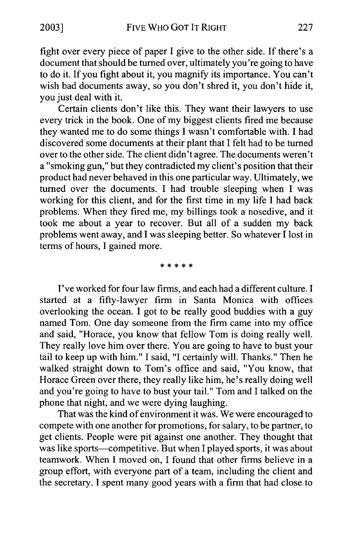fight over every piece of paper I give to the other side. If there's a document that should be turned over, ultimately you're going to have to do it. If you fight about it, you magnify its importance. You can't wish bad documents away, so you don't shred it, you don't hide it, you just deal with it.

Certain clients don't like this. They want their lawyers to use every trick in the book. One of my biggest clients fired me because they wanted me to do some things I wasn't comfortable with. I had discovered some documents at their plant that I felt had to be turned over to the other side. The client didn't agree. The documents weren't a "smoking gun," but they contradicted my client's position that their product had never behaved in this one particular way. Ultimately, we turned over the documents. I had trouble sleeping when I was working for this client, and for the first time in my life I had back problems. When they fired me, my billings took a nosedive, and it took me about a year to recover. But all of a sudden my back problems went away, and I was sleeping better. So whatever I lost in terms of hours, I gained more.

\*\*\*\*\*

I've worked for four law firms, and each had a different culture. I started at a fifty-lawyer firm in Santa Monica with offices overlooking the ocean. I got to be really good buddies with a guy named Tom. One day someone from the firm came into my office and said, "Horace, you know that fellow Tom is doing really well. They really love him over there. You are going to have to bust your tail to keep up with him." I said, "I certainly will. Thanks." Then he walked straight down to Tom's office and said, "You know, that Horace Green over there, they really like him, he's really doing well and you're going to have to bust your tail." Tom and I talked on the phone that night, and we were dying laughing.

That was the kind of environment it was. We were encouraged to compete with one another for promotions, for salary, to be partner, to get clients. People were pit against one another. They thought that was like sports-competitive. But when I played sports, it was about teamwork. When I moved on, I found that other firms believe in a group effort, with everyone part of a team, including the client and the secretary. I spent many good years with a firm that had close to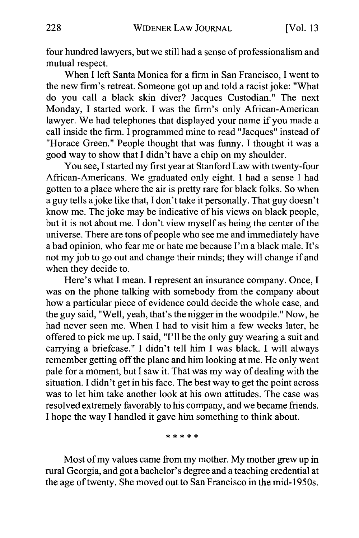four hundred lawyers, but we still had a sense of professionalism and mutual respect.

When I left Santa Monica for a firm in San Francisco, I went to the new firm's retreat. Someone got up and told a racist joke: "What do you call a black skin diver? Jacques Custodian." The next Monday, I started work. I was the firm's only African-American lawyer. We had telephones that displayed your name if you made a call inside the firm. I programmed mine to read "Jacques" instead of "Horace Green." People thought that was funny. I thought it was a good way to show that I didn't have a chip on my shoulder.

You see, I started my first year at Stanford Law with twenty-four African-Americans. We graduated only eight. I had a sense I had gotten to a place where the air is pretty rare for black folks. So when a guy tells ajoke like that, I don't take it personally. That guy doesn't know me. The joke may be indicative of his views on black people, but it is not about me. I don't view myself as being the center of the universe. There are tons of people who see me and immediately have a bad opinion, who fear me or hate me because I'm a black male. It's not my job to go out and change their minds; they will change if and when they decide to.

Here's what I mean. I represent an insurance company. Once, I was on the phone talking with somebody from the company about how a particular piece of evidence could decide the whole case, and the guy said, "Well, yeah, that's the nigger in the woodpile. " Now, he had never seen me. When I had to visit him a few weeks later, he offered to pick me up. I said, "I'll be the only guy wearing a suit and carrying a briefcase." I didn't tell him I was black. I will always remember getting off the plane and him looking at me. He only went pale for a moment, but I saw it. That was my way of dealing with the situation. I didn't get in his face. The best way to get the point across was to let him take another look at his own attitudes. The case was resolved extremely favorably to his company, and we became friends. I hope the way I handled it gave him something to think about.

\*\*\*\*\*

Most of my values came from my mother. My mother grew up in rural Georgia, and got a bachelor's degree and a teaching credential at the age of twenty. She moved out to San Francisco in the mid-1950s.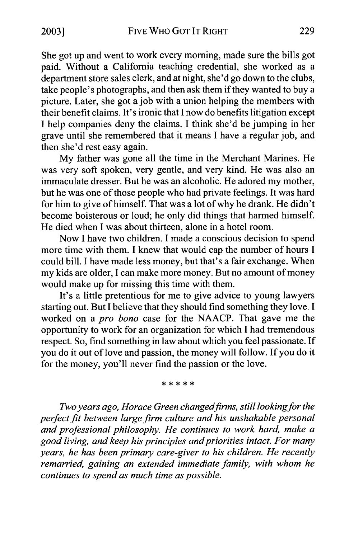She got up and went to work every morning, made sure the bills got paid. Without a California teaching credential, she worked as a department store sales clerk, and at night, she'd go down to the clubs, take people's photographs, and then ask them if they wanted to buy a picture. Later, she got a job with a union helping the members with their benefit claims. It's ironic that I now do benefits litigation except I help companies deny the claims. I think she'd be jumping in her grave until she remembered that it means I have a regular job, and then she'd rest easy again.

My father was gone all the time in the Merchant Marines. He was very soft spoken, very gentle, and very kind. He was also an immaculate dresser. But he was an alcoholic. He adored my mother, but he was one of those people who had private feelings. It was hard for him to give of himself. That was a lot of why he drank. He didn't become boisterous or loud; he only did things that harmed himself. He died when I was about thirteen, alone in a hotel room.

Now I have two children. I made a conscious decision to spend more time with them. I knew that would cap the number of hours I could bill. I have made less money, but that's a fair exchange. When my kids are older, I can make more money. But no amount of money would make up for missing this time with them.

It's a little pretentious for me to give advice to young lawyers starting out. But I believe that they should find something they love. I worked on a *pro bono* case for the NAACP. That gave me the opportunity to work for an organization for which I had tremendous respect. So, find something in law about which you feel passionate. If you do it out of love and passion, the money will follow. If you do it for the money, you'll never find the passion or the love.

\*\*\*\*\*

*Two years ago, Horace Green changed firms, still looking for the perfect fit between large firm culture and his unshakable personal and professional philosophy. He continues to work hard, make a good living, and keep his principles and priorities intact. For many years, he has been primary care-giver to his children. He recently remarried, gaining an extended immediate family, with whom he continues to spend as much time as possible.*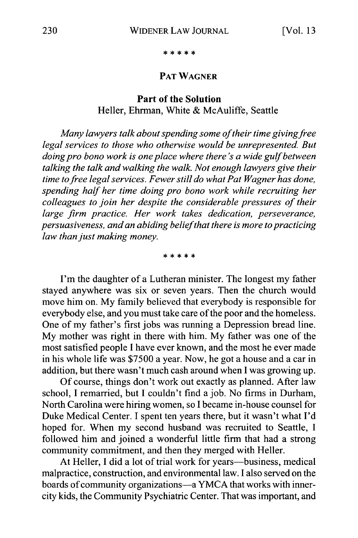\*\*\*\*\*

## PAT WAGNER

# **Part of the Solution**  Heller, Ehrman, White & McAuliffe, Seattle

*Many lawyers talk about spending some of their time giving free legal services to those who otherwise would be unrepresented. But doing pro bono work is one place where there's a wide gulf between talking the talk and walking the walk. Not enough lawyers give their time to free legal services. Fewer still do what Pat Wagner has done, spending half her time doing pro bono work while recruiting her colleagues to join her despite the considerable pressures of their large firm practice. Her work takes dedication, perseverance, persuasiveness, and an abiding belief that there is more to practicing law than just making money.* 

\* \* \* \* \*

I'm the daughter of a Lutheran minister. The longest my father stayed anywhere was six or seven years. Then the church would move him on. My family believed that everybody is responsible for everybody else, and you must take care of the poor and the homeless. One of my father's first jobs was running a Depression bread line. My mother was right in there with him. My father was one of the most satisfied people I have ever known, and the most he ever made in his whole life was \$7500 a year. Now, he got a house and a car in addition, but there wasn't much cash around when I was growing up.

Of course, things don't work out exactly as planned. After law school, I remarried, but I couldn't find a job. No firms in Durham, North Carolina were hiring women, so I became in-house counsel for Duke Medical Center. I spent ten years there, but it wasn't what I'd hoped for. When my second husband was recruited to Seattle, I followed him and joined a wonderful little firm that had a strong community commitment, and then they merged with Heller.

At Heller, I did a lot of trial work for years-business, medical malpractice, construction, and environmental law. I also served on the boards of community organizations-a YMCA that works with innercity kids, the Community Psychiatric Center. That was important, and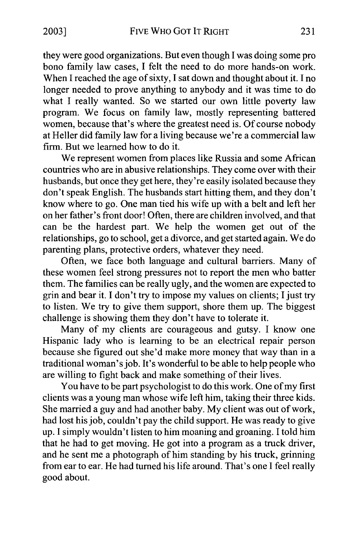they were good organizations. But even though I was doing some pro bono family law cases, I felt the need to do more hands-on work. When I reached the age of sixty, I sat down and thought about it. I no longer needed to prove anything to anybody and it was time to do what I really wanted. So we started our own little poverty law program. We focus on family law, mostly representing battered women, because that's where the greatest need is. Of course nobody at Heller did family law for a living because we're a commercial law firm. But we learned how to do it.

We represent women from places like Russia and some African countries who are in abusive relationships. They come over with their husbands, but once they get here, they're easily isolated because they don't speak English. The husbands start hitting them, and they don't know where to go. One man tied his wife up with a belt and left her on her father's front door! Often, there are children involved, and that can be the hardest part. We help the women get out of the relationships, go to school, get a divorce, and get started again. We do parenting plans, protective orders, whatever they need.

Often, we face both language and cultural barriers. Many of these women feel strong pressures not to report the men who batter them. The families can be really ugly, and the women are expected to grin and bear it. I don't try to impose my values on clients; I just try to listen. We try to give them support, shore them up. The biggest challenge is showing them they don't have to tolerate it.

Many of my clients are courageous and gutsy. I know one Hispanic lady who is learning to be an electrical repair person because she figured out she'd make more money that way than in a traditional woman's job. It's wonderful to be able to help people who are willing to fight back and make something of their lives.

You have to be part psychologist to do this work. One of my first clients was a young man whose wife left him, taking their three kids. She married a guy and had another baby. My client was out of work, had lost his job, couldn't pay the child support. He was ready to give up. I simply wouldn't listen to him moaning and groaning. I told him that he had to get moving. He got into a program as a truck driver, and he sent me a photograph of him standing by his truck, grinning from ear to ear. He had turned his life around. That's one I feel really good about.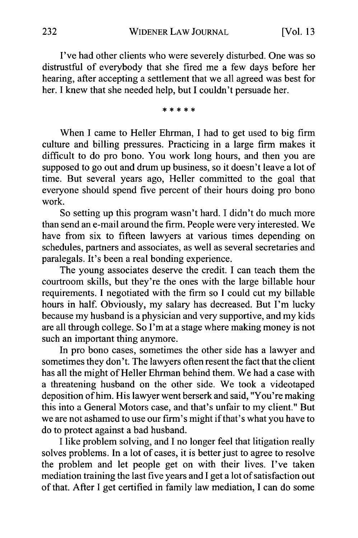I've had other clients who were severely disturbed. One was so distrustful of everybody that she fired me a few days before her hearing, after accepting a settlement that we all agreed was best for her. I knew that she needed help, but I couldn't persuade her.

\*\*\*\*\*

When I came to Heller Ehrman, I had to get used to big firm culture and billing pressures. Practicing in a large firm makes it difficult to do pro bono. You work long hours, and then you are supposed to go out and drum up business, so it doesn't leave a lot of time. But several years ago, Heller committed to the goal that everyone should spend five percent of their hours doing pro bono work.

So setting up this program wasn't hard. I didn't do much more than send an e-mail around the firm. People were very interested. We have from six to fifteen lawyers at various times depending on schedules, partners and associates, as well as several secretaries and paralegals. It's been a real bonding experience.

The young associates deserve the credit. I can teach them the courtroom skills, but they're the ones with the large billable hour requirements. I negotiated with the firm so I could cut my billable hours in half. Obviously, my salary has decreased. But I'm lucky because my husband is a physician and very supportive, and my kids are all through college. So I'm at a stage where making money is not such an important thing anymore.

In pro bono cases, sometimes the other side has a lawyer and sometimes they don't. The lawyers often resent the fact that the client has all the might of Heller Ehrman behind them. We had a case with a threatening husband on the other side. We took a videotaped deposition of him. His lawyer went berserk and said, "You're making this into a General Motors case, and that's unfair to my client." But we are not ashamed to use our firm's might if that's what you have to do to protect against a bad husband.

I like problem solving, and I no longer feel that litigation really solves problems. In a lot of cases, it is better just to agree to resolve the problem and let people get on with their lives. I've taken mediation training the last five years and I get a lot of satisfaction out of that. After I get certified in family law mediation, I can do some